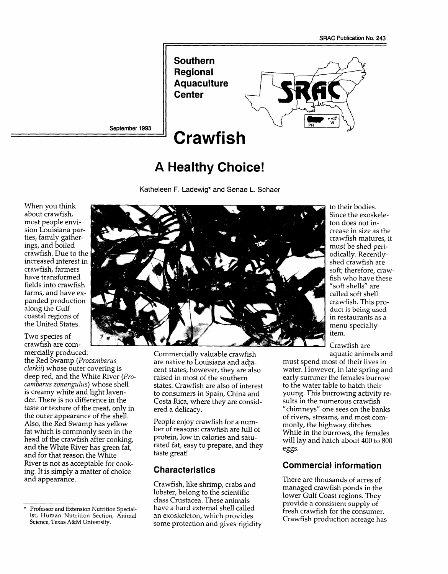

# **A Healthy Choice!**

Katheleen F. Ladewig\*and Senae L. Schaer

When you think about crawfish, most people envision Louisiana parties, family gatherings, and boiled crawfish. Due to the increased interest in crawfish, farmers have transformed fields into crawfish farms, and have expanded production along the Gulf coastal regions of the United States.

Two species of crawfish are commercially produced:

the Red Swamp *(Procambarus clarkii)* whose outer covering is deep red, and the White River *(Procambarus zonangulus)* whose shell is creamy white and light lavender. There is no difference in the taste or texture of the meat, only in the outer appearance of the shell. Also, the Red Swamp has yellow fat which is commonly seen in the head of the crawfish after cooking, and the White River has green fat, and for that reason the White River is not as acceptable for cooking. It is simply a matter of choice and appearance.



Commercially valuable crawfish are native to Louisiana and adjacent states; however, they are also raised in most of the southern states. Crawfish are also of interest to consumers in Spain, China and Costa Rica, where they are considered a delicacy.

People enjoy crawfish for a number of reasons: crawfish are full of protein, low in calories and saturated fat, easy to prepare, and they taste great!

### **Characteristics**

Crawfish, like shrimp, crabs and lobster, belong to the scientific class Crustacea. These animals have a hard external shell called an exoskeleton, which provides some protection and gives rigidity

to their bodies. Since the exoskeleton does not increase in size as the crawfish matures, it must be shed periodically. Recentlyshed crawfish are soft; therefore, crawfish who have these "soft shells" are called soft shell crawfish. This product is being used in restaurants as a menu specialty item.

Crawfish are aquatic animals and

must spend most of their lives in water. However, in late spring and early summer the females burrow to the water table to hatch their young. This burrowing activity results in the numerous crawfish "chimneys" one sees on the banks of rivers, streams, and most commonly, the highway ditches. While in the burrows, the females will lay and hatch about 400 to 800 eggs.

### **Commercial information**

There are thousands of acres of managed crawfish ponds in the lower Gulf Coast regions. They provide a consistent supply of fresh crawfish for the consumer. Crawfish production acreage has

Professor and Extension Nutrition Specialist, Human Nutrition Section, Animal Science, Texas A&M University.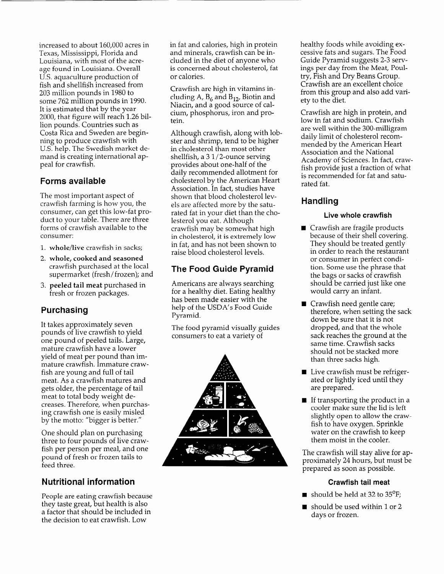increased to about 160,000 acres in Texas, Mississippi, Florida and Louisiana, with most of the acreage found in Louisiana. Overall U.S. aquaculture production of fish and shellfish increased from 203 million pounds in 1980 to some 762 million pounds in 1990. It is estimated that by the year 2000, that figure will reach 1.26 billion pounds. Countries such as Costa Rica and Sweden are beginning to produce crawfish with U.S. help. The Swedish market demand is creating international appeal for crawfish.

### **Forms available**

The most important aspect of crawfish farming is how you, the consumer, can get this low-fat product to your table. There are three forms of crawfish available to the consumer:

- 1. whole/live crawfish in sacks;
- 2. whole, cooked and seasoned crawfish purchased at the local supermarket (fresh/frozen); and
- 3. peeled tail meat purchased in fresh or frozen packages.

## **Purchasing**

It takes approximately seven pounds of live crawfish to yield one pound of peeled tails. Large, mature crawfish have a lower yield of meat per pound than immature crawfish. Immature crawfish are young and full of tail meat. As a crawfish matures and gets older, the percentage of tail meat to total body weight decreases. Therefore, when purchasing crawfish one is easily misled by the motto: "bigger is better."

One should plan on purchasing three to four pounds of live crawfish per person per meal, and one pound of fresh or frozen tails to feed three.

## **Nutritional information**

People are eating crawfish because they taste great, but health is also a factor that should be included in the decision to eat crawfish. Low

in fat and calories, high in protein and minerals, crawfish can be included in the diet of anyone who is concerned about cholesterol, fat or calories.

Crawfish are high in vitamins including A,  $B_6$  and  $B_{12}$ , Biotin and Niacin, and a good source of calcium, phosphorus, iron and protein.

Although crawfish, along with lobster and shrimp, tend to be higher in cholesterol than most other shellfish, a 3 1/2-ounce serving provides about one-half of the daily recommended allotment for cholesterol by the American Heart Association. In fact, studies have shown that blood cholesterol levels are affected more by the saturated fat in your diet than the cholesterol you eat. Although crawfish may be somewhat high in cholesterol, it is extremely low in fat, and has not been shown to raise blood cholesterol levels.

## **The Food Guide Pyramid**

Americans are always searching for a healthy diet. Eating healthy has been made easier with the help of the USDA's Food Guide Pyramid.

The food pyramid visually guides consumers to eat a variety of



healthy foods while avoiding excessive fats and sugars. The Food Guide Pyramid suggests 2-3 servings per day from the Meat, Poultry, Fish and Dry Beans Group. Crawfish are an excellent choice from this group and also add variety to the diet.

Crawfish are high in protein, and low in fat and sodium. Crawfish are well within the 300-milligram daily limit of cholesterol recommended by the American Heart Association and the National Academy of Sciences. In fact, crawfish provide just a fraction of what is recommended for fat and saturated fat.

## **Handling**

### **Live whole crawfish**

- Crawfish are fragile products because of their shell covering. They should be treated gently in order to reach the restaurant or consumer in perfect condition. Some use the phrase that the bags or sacks of crawfish should be carried just like one would carry an infant.
- Crawfish need gentle care; therefore, when setting the sack down be sure that it is not dropped, and that the whole sack reaches the ground at the same time. Crawfish sacks should not be stacked more than three sacks high.
- Live crawfish must be refrigerated or lightly iced until they are prepared.
- **If transporting the product in a** cooler make sure the lid is left slightly open to allow the crawfish to have oxygen. Sprinkle water on the crawfish to keep them moist in the cooler.

The crawfish will stay alive for approximately 24 hours, but must be prepared as soon as possible.

### **Crawfish tail meat**

- should be held at 32 to  $35^{\circ}$ F;
- should be used within 1 or 2 days or frozen.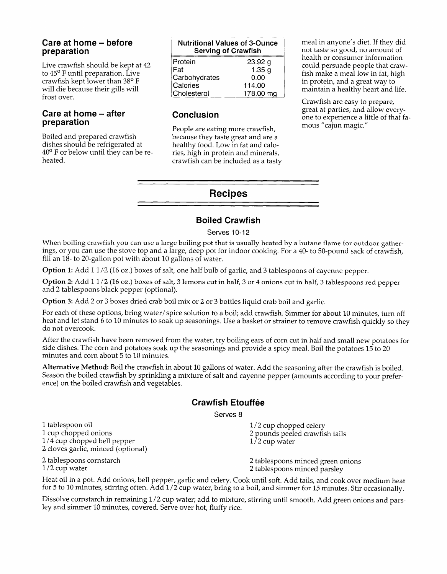### **Care at home - before preparation**

Live crawfish should be kept at 42 to 45° F until preparation. Live crawfish kept lower than 38° F will die because their gills will frost over.

### **Care at home - after preparation**

Boiled and prepared crawfish dishes should be refrigerated at 40° F or below until they can be reheated.

| <b>Nutritional Values of 3-Ounce</b><br><b>Serving of Crawfish</b> |
|--------------------------------------------------------------------|
| 23.92 g                                                            |
| 1.35 g                                                             |
| 0.00                                                               |
| 114.00                                                             |
| 178.00 mg                                                          |
|                                                                    |

## **Conclusion**

People are eating more crawfish, because they taste great and are a healthy food. Low in fat and calories, high in protein and minerals, crawfish can be included as a tasty meal in anyone's diet. If they did not taste so good, no amount of health or consumer information could persuade people that crawfish make a meal low in fat, high in protein, and a great way to maintain a healthy heart and life.

Crawfish are easy to prepare, great at parties, and allow everyone to experience a little of that famous "cajun magic."

## **Recipes**

## **Boiled Crawfish**

### Serves 10-12

When boiling crawfish you can use a large boiling pot that is usually heated by a butane flame for outdoor gatherings, or you can use the stove top and a large, deep pot for indoor cooking. For a 40- to 50-pound sack of crawfish, fill an 18- to 20-gallon pot with about 10 gallons of water.

Option 1: Add 1 1/2 (16 oz.) boxes of salt, one half bulb of garlic, and 3 tablespoons of cayenne pepper.

Option 2: Add 1 1/2 (16 oz.) boxes of salt, 3 lemons cut in half, 3 or 4 onions cut in half, 3 tablespoons red pepper and 2 tablespoons black pepper (optional).

Option 3: Add 2 or 3 boxes dried crab boil mix or 2 or 3 bottles liquid crab boil and garlic.

For each of these options, bring water/spice solution to a boil; add crawfish. Simmer for about 10 minutes, turn off heat and let stand 6 to 10 minutes to soak up seasonings. Use a basket or strainer to remove crawfish quickly so they do not overcook.

After the crawfish have been removed from the water, try boiling ears of corn cut in half and small new potatoes for side dishes. The corn and potatoes soak up the seasonings and provide a spicy meal. Boil the potatoes 15 to 20 minutes and corn about  $5$  to 10 minutes.

Alternative Method: Boil the crawfish in about 10 gallons of water. Add the seasoning after the crawfish is boiled. Season the boiled crawfish by sprinkling a mixture of salt and cayenne pepper (amounts according to your preference) on the boiled crawfish and vegetables.

## **Crawfish Etouffee**

Serves 8

1 tablespoon oil 11/2 cup chopped celery<br>
1 cup chopped onions the contract of the contract of the contract of the contract of the contract of the contra<br>
1 cup chopped onions the contract of the contract of the contract o  $1/4$  cup chopped bell pepper  $1/2$  cup water 2 cloves garlic, minced (optional)

2 pounds peeled crawfish tails

2 tablespoons cornstarch 2 tablespoons minced green onions 2 tablespoons minced parsley

Heat oil in a pot. Add onions, bell pepper, garlic and celery. Cook until soft. Add tails, and cook over medium heat for 5 to 10 minutes, stirring often. Add 1/2 cup water, bring to a boil, and simmer for 15 minutes. Stir occasionally.

Dissolve cornstarch in remaining 1/2 cup water; add to mixture, stirring until smooth. Add green onions and parsley and simmer 10 minutes, covered. Serve over hot, fluffy rice.